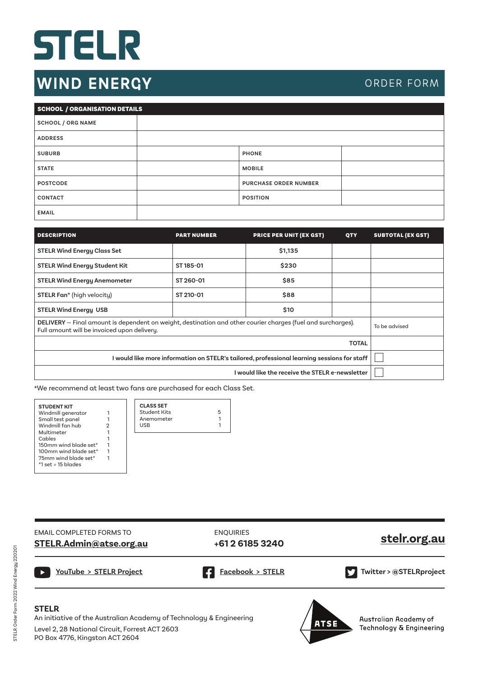## STELR

## **WIND ENERGY**

## ORDER FORM

| SCHOOL / ORGANISATION DETAILS |                              |
|-------------------------------|------------------------------|
| <b>SCHOOL / ORG NAME</b>      |                              |
| <b>ADDRESS</b>                |                              |
| <b>SUBURB</b>                 | <b>PHONE</b>                 |
| <b>STATE</b>                  | <b>MOBILE</b>                |
| <b>POSTCODE</b>               | <b>PURCHASE ORDER NUMBER</b> |
| <b>CONTACT</b>                | <b>POSITION</b>              |
| <b>EMAIL</b>                  |                              |

| <b>DESCRIPTION</b>                                                                                                                                          | <b>PART NUMBER</b> | <b>PRICE PER UNIT (EX GST)</b> | <b>QTY</b> | <b>SUBTOTAL (EX GST)</b> |
|-------------------------------------------------------------------------------------------------------------------------------------------------------------|--------------------|--------------------------------|------------|--------------------------|
| <b>STELR Wind Energy Class Set</b>                                                                                                                          |                    | \$1,135                        |            |                          |
| <b>STELR Wind Energy Student Kit</b>                                                                                                                        | ST 185-01          | \$230                          |            |                          |
| <b>STELR Wind Energy Anemometer</b>                                                                                                                         | ST 260-01          | \$85                           |            |                          |
| STELR Fan* (high velocity)                                                                                                                                  | ST 210-01          | \$88                           |            |                          |
| <b>STELR Wind Energy USB</b>                                                                                                                                |                    | \$10                           |            |                          |
| DELIVERY - Final amount is dependent on weight, destination and other courier charges (fuel and surcharges).<br>Full amount will be invoiced upon delivery. | To be advised      |                                |            |                          |
|                                                                                                                                                             |                    |                                |            |                          |
| I would like more information on STELR's tailored, professional learning sessions for staff                                                                 |                    |                                |            |                          |
|                                                                                                                                                             |                    |                                |            |                          |

**\***We recommend at least two fans are purchased for each Class Set.

| <b>STUDENT KIT</b><br>Windmill generator     |  | <b>CLAS</b><br>Stude |
|----------------------------------------------|--|----------------------|
| Small test panel                             |  | Anen                 |
| Windmill fan hub                             |  | <b>USB</b>           |
| Multimeter                                   |  |                      |
| Cables                                       |  |                      |
| 150mm wind blade set*                        |  |                      |
| 100mm wind blade set*                        |  |                      |
| 75mm wind blade set*<br>$*1$ set = 15 blades |  |                      |
|                                              |  |                      |